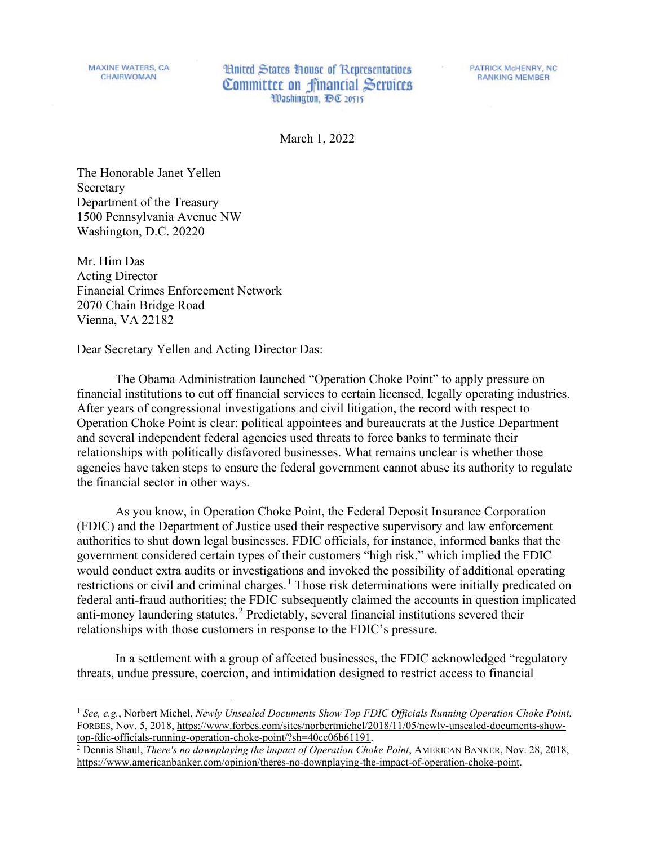**MAXINE WATERS, CA CHAIRWOMAN** 

**Hnited States House of Representatives** Committee on financial Services Washington, DC 20515

**PATRICK McHENRY, NC RANKING MEMBER** 

March 1, 2022

The Honorable Janet Yellen Secretary Department of the Treasury 1500 Pennsylvania Avenue NW Washington, D.C. 20220

Mr. Him Das Acting Director Financial Crimes Enforcement Network 2070 Chain Bridge Road Vienna, VA 22182

Dear Secretary Yellen and Acting Director Das:

The Obama Administration launched "Operation Choke Point" to apply pressure on financial institutions to cut off financial services to certain licensed, legally operating industries. After years of congressional investigations and civil litigation, the record with respect to Operation Choke Point is clear: political appointees and bureaucrats at the Justice Department and several independent federal agencies used threats to force banks to terminate their relationships with politically disfavored businesses. What remains unclear is whether those agencies have taken steps to ensure the federal government cannot abuse its authority to regulate the financial sector in other ways.

As you know, in Operation Choke Point, the Federal Deposit Insurance Corporation (FDIC) and the Department of Justice used their respective supervisory and law enforcement authorities to shut down legal businesses. FDIC officials, for instance, informed banks that the government considered certain types of their customers "high risk," which implied the FDIC would conduct extra audits or investigations and invoked the possibility of additional operating restrictions or civil and criminal charges.<sup>[1](#page-0-0)</sup> Those risk determinations were initially predicated on federal anti-fraud authorities; the FDIC subsequently claimed the accounts in question implicated anti-money laundering statutes. [2](#page-0-1) Predictably, several financial institutions severed their relationships with those customers in response to the FDIC's pressure.

In a settlement with a group of affected businesses, the FDIC acknowledged "regulatory threats, undue pressure, coercion, and intimidation designed to restrict access to financial

<span id="page-0-0"></span><sup>1</sup> *See, e.g.*, Norbert Michel, *Newly Unsealed Documents Show Top FDIC Officials Running Operation Choke Point*, FORBES, Nov. 5, 2018, https://www.forbes.com/sites/norbertmichel/2018/11/05/newly-unsealed-documents-show-<br>top-fdic-officials-running-operation-choke-point/?sh=40cc06b61191.

<span id="page-0-1"></span><sup>&</sup>lt;sup>2</sup> Dennis Shaul, *There's no downplaying the impact of Operation Choke Point*, AMERICAN BANKER, Nov. 28, 2018, [https://www.americanbanker.com/opinion/theres-no-downplaying-the-impact-of-operation-choke-point.](https://www.americanbanker.com/opinion/theres-no-downplaying-the-impact-of-operation-choke-point)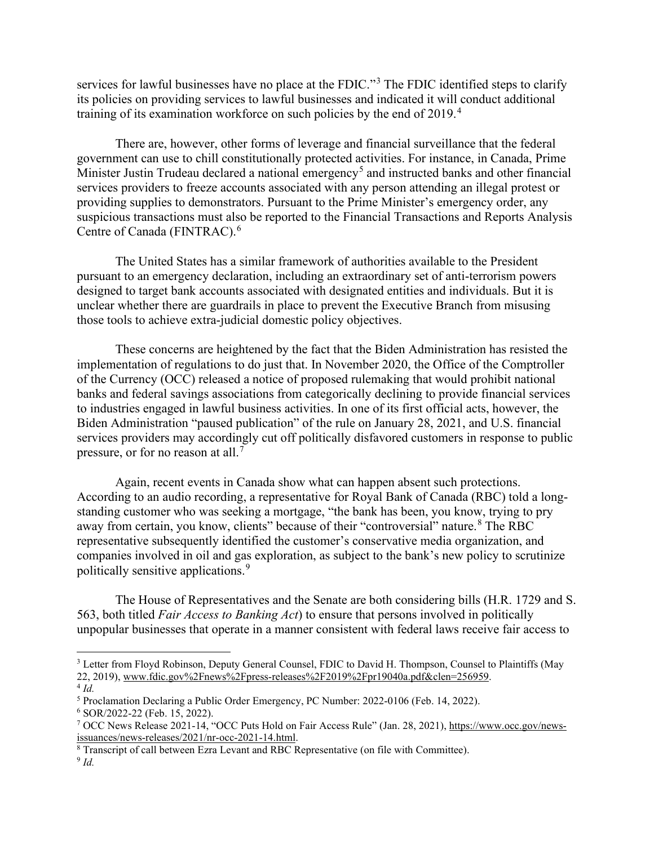services for lawful businesses have no place at the FDIC."<sup>[3](#page-1-0)</sup> The FDIC identified steps to clarify its policies on providing services to lawful businesses and indicated it will conduct additional training of its examination workforce on such policies by the end of 2019.<sup>[4](#page-1-1)</sup>

There are, however, other forms of leverage and financial surveillance that the federal government can use to chill constitutionally protected activities. For instance, in Canada, Prime Minister Justin Trudeau declared a national emergency<sup>[5](#page-1-2)</sup> and instructed banks and other financial services providers to freeze accounts associated with any person attending an illegal protest or providing supplies to demonstrators. Pursuant to the Prime Minister's emergency order, any suspicious transactions must also be reported to the Financial Transactions and Reports Analysis Centre of Canada (FINTRAC). [6](#page-1-3)

The United States has a similar framework of authorities available to the President pursuant to an emergency declaration, including an extraordinary set of anti-terrorism powers designed to target bank accounts associated with designated entities and individuals. But it is unclear whether there are guardrails in place to prevent the Executive Branch from misusing those tools to achieve extra-judicial domestic policy objectives.

These concerns are heightened by the fact that the Biden Administration has resisted the implementation of regulations to do just that. In November 2020, the Office of the Comptroller of the Currency (OCC) released a notice of proposed rulemaking that would prohibit national banks and federal savings associations from categorically declining to provide financial services to industries engaged in lawful business activities. In one of its first official acts, however, the Biden Administration "paused publication" of the rule on January 28, 2021, and U.S. financial services providers may accordingly cut off politically disfavored customers in response to public pressure, or for no reason at all.<sup>[7](#page-1-4)</sup>

Again, recent events in Canada show what can happen absent such protections. According to an audio recording, a representative for Royal Bank of Canada (RBC) told a longstanding customer who was seeking a mortgage, "the bank has been, you know, trying to pry away from certain, you know, clients" because of their "controversial" nature.<sup>[8](#page-1-5)</sup> The RBC representative subsequently identified the customer's conservative media organization, and companies involved in oil and gas exploration, as subject to the bank's new policy to scrutinize politically sensitive applications.<sup>[9](#page-1-6)</sup>

The House of Representatives and the Senate are both considering bills (H.R. 1729 and S. 563, both titled *Fair Access to Banking Act*) to ensure that persons involved in politically unpopular businesses that operate in a manner consistent with federal laws receive fair access to

<span id="page-1-0"></span><sup>&</sup>lt;sup>3</sup> Letter from Floyd Robinson, Deputy General Counsel, FDIC to David H. Thompson, Counsel to Plaintiffs (May 22, 2019), www.fdic.gov%2Fnews%2Fpress-releases%2F2019%2Fpr19040a.pdf&clen=256959.  $4$  *Id.* 

<span id="page-1-2"></span><span id="page-1-1"></span><sup>5</sup> Proclamation Declaring a Public Order Emergency, PC Number: 2022-0106 (Feb. 14, 2022).

<span id="page-1-3"></span><sup>6</sup> SOR/2022-22 (Feb. 15, 2022).

<span id="page-1-4"></span><sup>7</sup> OCC News Release 2021-14, "OCC Puts Hold on Fair Access Rule" (Jan. 28, 2021)[, https://www.occ.gov/news](https://www.occ.gov/news-issuances/news-releases/2021/nr-occ-2021-14.html)[issuances/news-releases/2021/nr-occ-2021-14.html.](https://www.occ.gov/news-issuances/news-releases/2021/nr-occ-2021-14.html)

<span id="page-1-6"></span><span id="page-1-5"></span><sup>8</sup> Transcript of call between Ezra Levant and RBC Representative (on file with Committee). <sup>9</sup> *Id.*